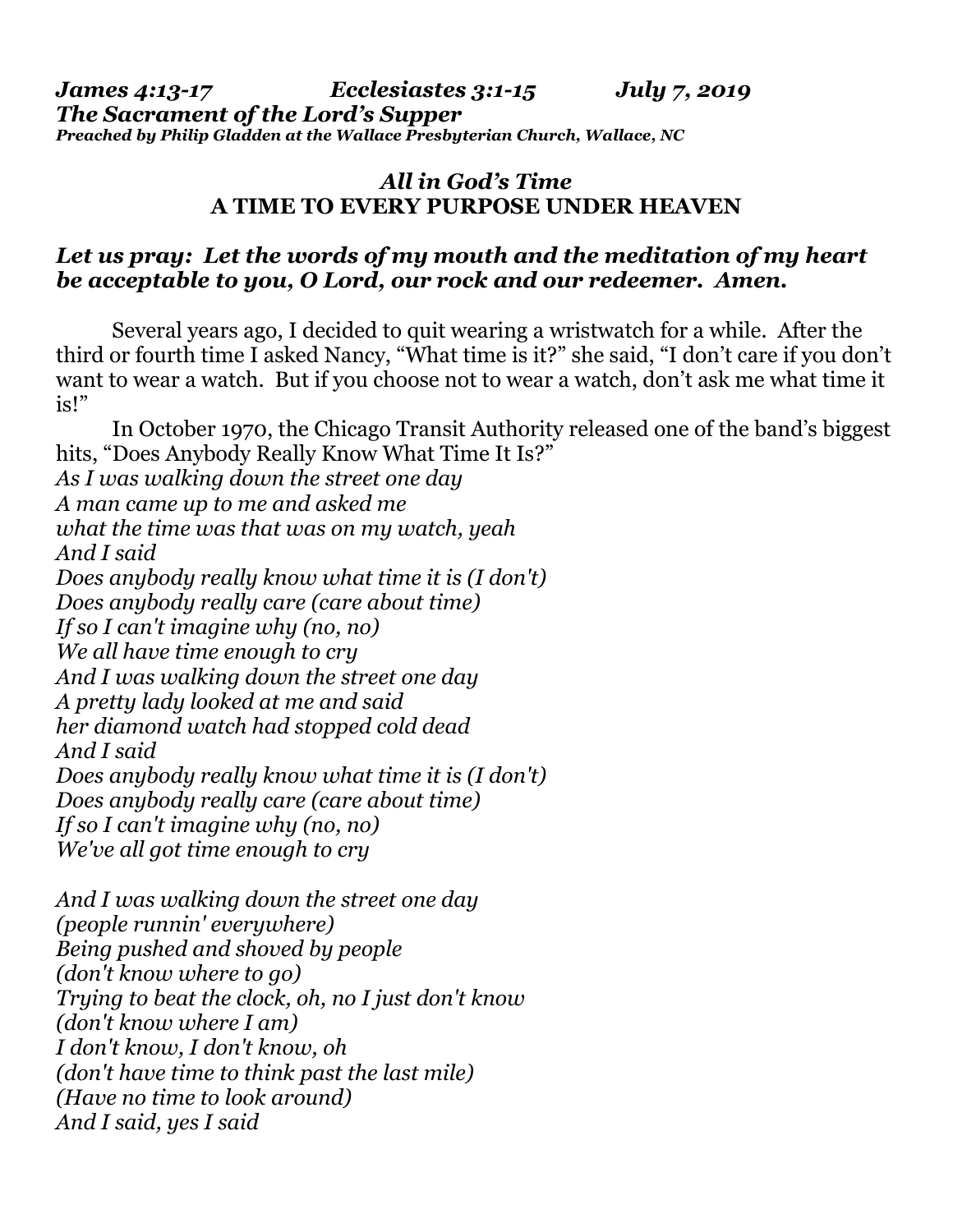*James 4:13-17 Ecclesiastes 3:1-15 July 7, 2019 The Sacrament of the Lord's Supper Preached by Philip Gladden at the Wallace Presbyterian Church, Wallace, NC*

## *All in God's Time* **A TIME TO EVERY PURPOSE UNDER HEAVEN**

## *Let us pray: Let the words of my mouth and the meditation of my heart be acceptable to you, O Lord, our rock and our redeemer. Amen.*

Several years ago, I decided to quit wearing a wristwatch for a while. After the third or fourth time I asked Nancy, "What time is it?" she said, "I don't care if you don't want to wear a watch. But if you choose not to wear a watch, don't ask me what time it is!"

In October 1970, the Chicago Transit Authority released one of the band's biggest hits, "Does Anybody Really Know What Time It Is?" *As I was walking down the street one day A man came up to me and asked me what the time was that was on my watch, yeah And I said Does anybody really know what time it is (I don't) Does anybody really care (care about time) If so I can't imagine why (no, no) We all have time enough to cry And I was walking down the street one day A pretty lady looked at me and said her diamond watch had stopped cold dead And I said Does anybody really know what time it is (I don't) Does anybody really care (care about time) If so I can't imagine why (no, no) We've all got time enough to cry*

*And I was walking down the street one day (people runnin' everywhere) Being pushed and shoved by people (don't know where to go) Trying to beat the clock, oh, no I just don't know (don't know where I am) I don't know, I don't know, oh (don't have time to think past the last mile) (Have no time to look around) And I said, yes I said*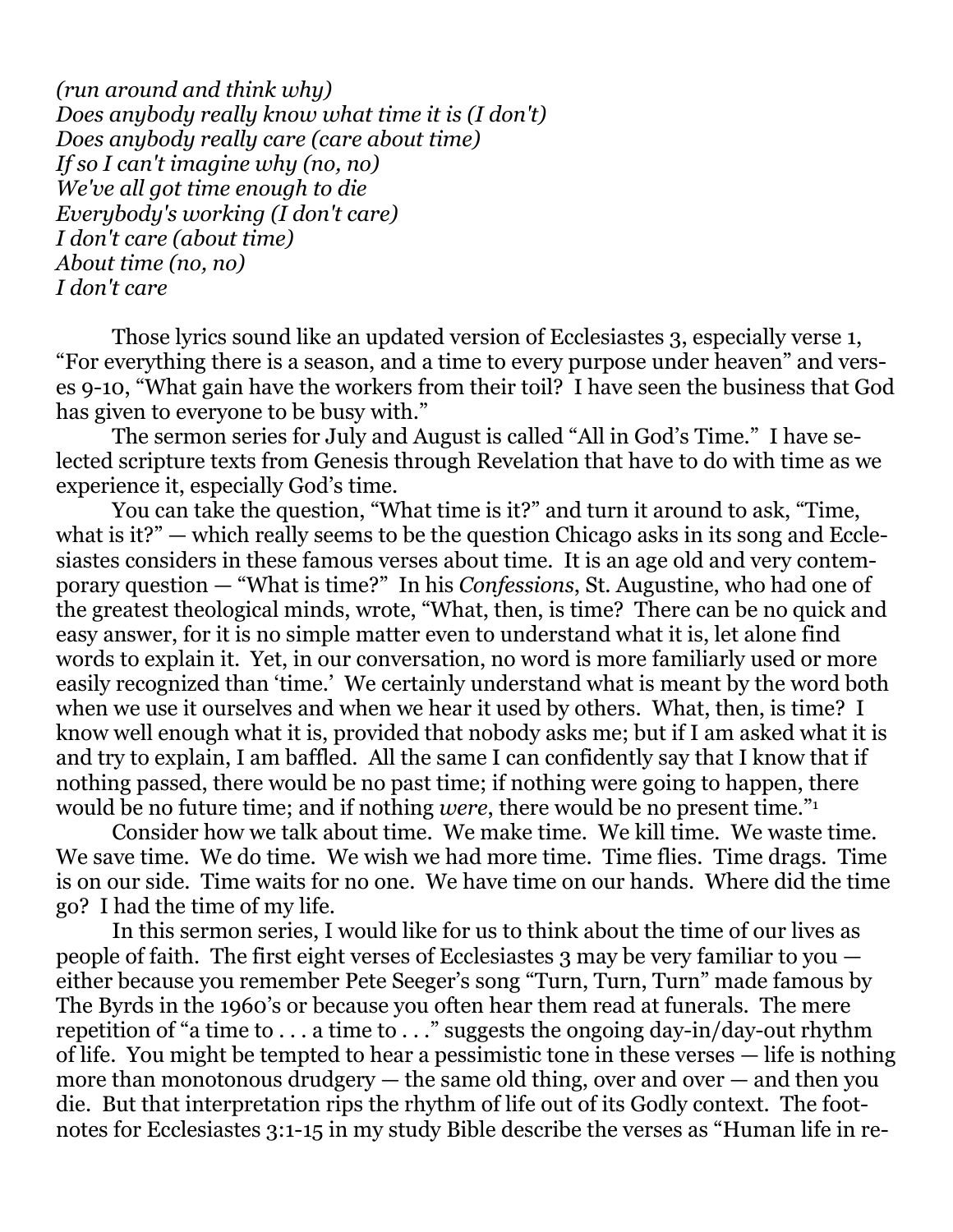*(run around and think why) Does anybody really know what time it is (I don't) Does anybody really care (care about time) If so I can't imagine why (no, no) We've all got time enough to die Everybody's working (I don't care) I don't care (about time) About time (no, no) I don't care*

Those lyrics sound like an updated version of Ecclesiastes 3, especially verse 1, "For everything there is a season, and a time to every purpose under heaven" and verses 9-10, "What gain have the workers from their toil? I have seen the business that God has given to everyone to be busy with."

The sermon series for July and August is called "All in God's Time." I have selected scripture texts from Genesis through Revelation that have to do with time as we experience it, especially God's time.

You can take the question, "What time is it?" and turn it around to ask, "Time, what is it?" — which really seems to be the question Chicago asks in its song and Ecclesiastes considers in these famous verses about time. It is an age old and very contemporary question — "What is time?" In his *Confessions*, St. Augustine, who had one of the greatest theological minds, wrote, "What, then, is time? There can be no quick and easy answer, for it is no simple matter even to understand what it is, let alone find words to explain it. Yet, in our conversation, no word is more familiarly used or more easily recognized than 'time.' We certainly understand what is meant by the word both when we use it ourselves and when we hear it used by others. What, then, is time? I know well enough what it is, provided that nobody asks me; but if I am asked what it is and try to explain, I am baffled. All the same I can confidently say that I know that if nothing passed, there would be no past time; if nothing were going to happen, there would be no future time; and if nothing *were*, there would be no present time."<sup>1</sup>

Consider how we talk about time. We make time. We kill time. We waste time. We save time. We do time. We wish we had more time. Time flies. Time drags. Time is on our side. Time waits for no one. We have time on our hands. Where did the time go? I had the time of my life.

In this sermon series, I would like for us to think about the time of our lives as people of faith. The first eight verses of Ecclesiastes 3 may be very familiar to you either because you remember Pete Seeger's song "Turn, Turn, Turn" made famous by The Byrds in the 1960's or because you often hear them read at funerals. The mere repetition of "a time to  $\dots$  a time to  $\dots$ " suggests the ongoing day-in/day-out rhythm of life. You might be tempted to hear a pessimistic tone in these verses — life is nothing more than monotonous drudgery — the same old thing, over and over — and then you die. But that interpretation rips the rhythm of life out of its Godly context. The footnotes for Ecclesiastes 3:1-15 in my study Bible describe the verses as "Human life in re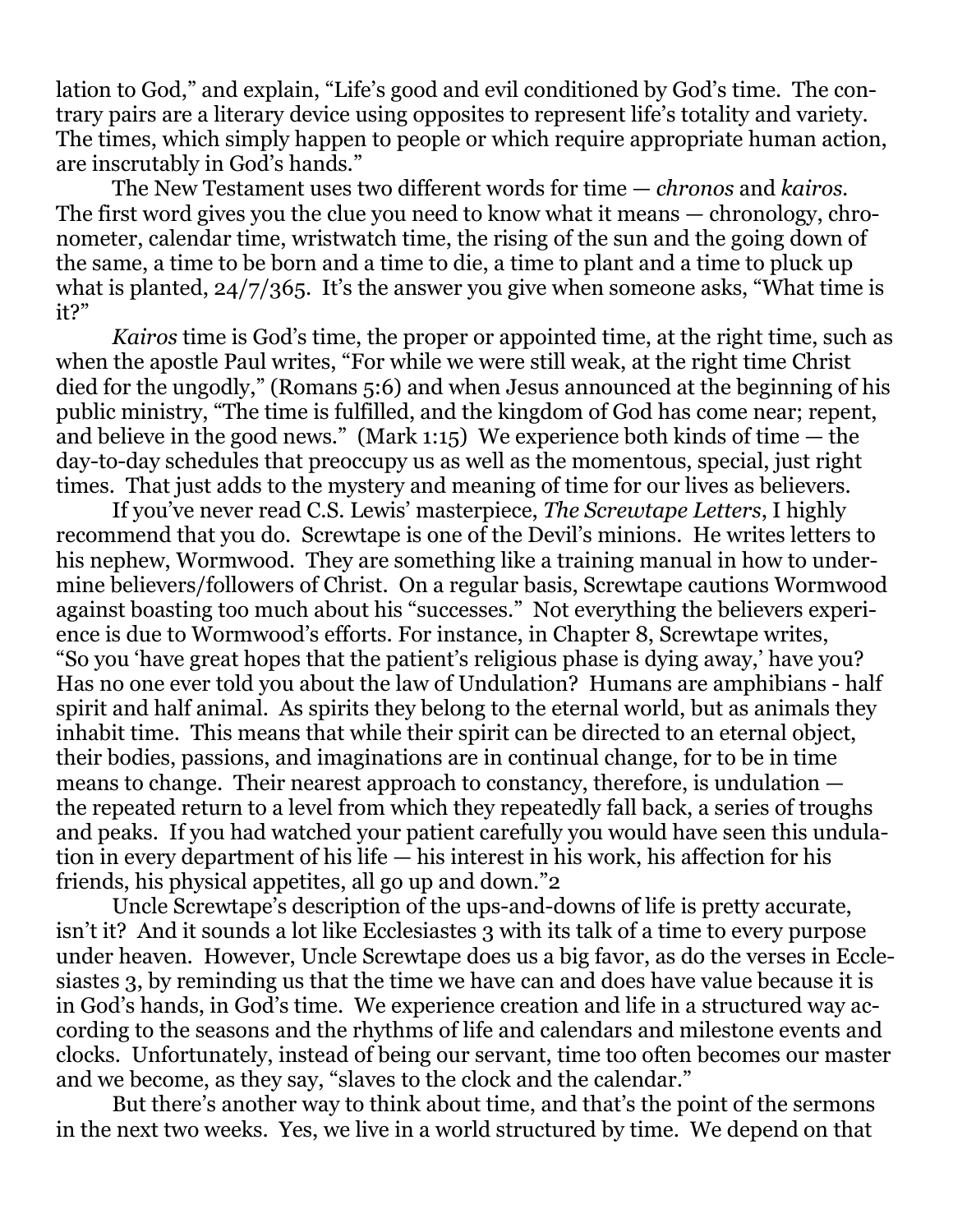lation to God," and explain, "Life's good and evil conditioned by God's time. The contrary pairs are a literary device using opposites to represent life's totality and variety. The times, which simply happen to people or which require appropriate human action, are inscrutably in God's hands."

The New Testament uses two different words for time — *chronos* and *kairos.*  The first word gives you the clue you need to know what it means — chronology, chronometer, calendar time, wristwatch time, the rising of the sun and the going down of the same, a time to be born and a time to die, a time to plant and a time to pluck up what is planted, 24/7/365. It's the answer you give when someone asks, "What time is it?"

*Kairos* time is God's time, the proper or appointed time, at the right time, such as when the apostle Paul writes, "For while we were still weak, at the right time Christ died for the ungodly," (Romans 5:6) and when Jesus announced at the beginning of his public ministry, "The time is fulfilled, and the kingdom of God has come near; repent, and believe in the good news." (Mark 1:15) We experience both kinds of time  $-\overline{$ the day-to-day schedules that preoccupy us as well as the momentous, special, just right times. That just adds to the mystery and meaning of time for our lives as believers.

If you've never read C.S. Lewis' masterpiece, *The Screwtape Letters*, I highly recommend that you do. Screwtape is one of the Devil's minions. He writes letters to his nephew, Wormwood. They are something like a training manual in how to undermine believers/followers of Christ. On a regular basis, Screwtape cautions Wormwood against boasting too much about his "successes." Not everything the believers experience is due to Wormwood's efforts. For instance, in Chapter 8, Screwtape writes, "So you 'have great hopes that the patient's religious phase is dying away,' have you? Has no one ever told you about the law of Undulation? Humans are amphibians - half spirit and half animal. As spirits they belong to the eternal world, but as animals they inhabit time. This means that while their spirit can be directed to an eternal object, their bodies, passions, and imaginations are in continual change, for to be in time means to change. Their nearest approach to constancy, therefore, is undulation the repeated return to a level from which they repeatedly fall back, a series of troughs and peaks. If you had watched your patient carefully you would have seen this undulation in every department of his life — his interest in his work, his affection for his friends, his physical appetites, all go up and down."2

Uncle Screwtape's description of the ups-and-downs of life is pretty accurate, isn't it? And it sounds a lot like Ecclesiastes 3 with its talk of a time to every purpose under heaven. However, Uncle Screwtape does us a big favor, as do the verses in Ecclesiastes 3, by reminding us that the time we have can and does have value because it is in God's hands, in God's time. We experience creation and life in a structured way according to the seasons and the rhythms of life and calendars and milestone events and clocks. Unfortunately, instead of being our servant, time too often becomes our master and we become, as they say, "slaves to the clock and the calendar."

But there's another way to think about time, and that's the point of the sermons in the next two weeks. Yes, we live in a world structured by time. We depend on that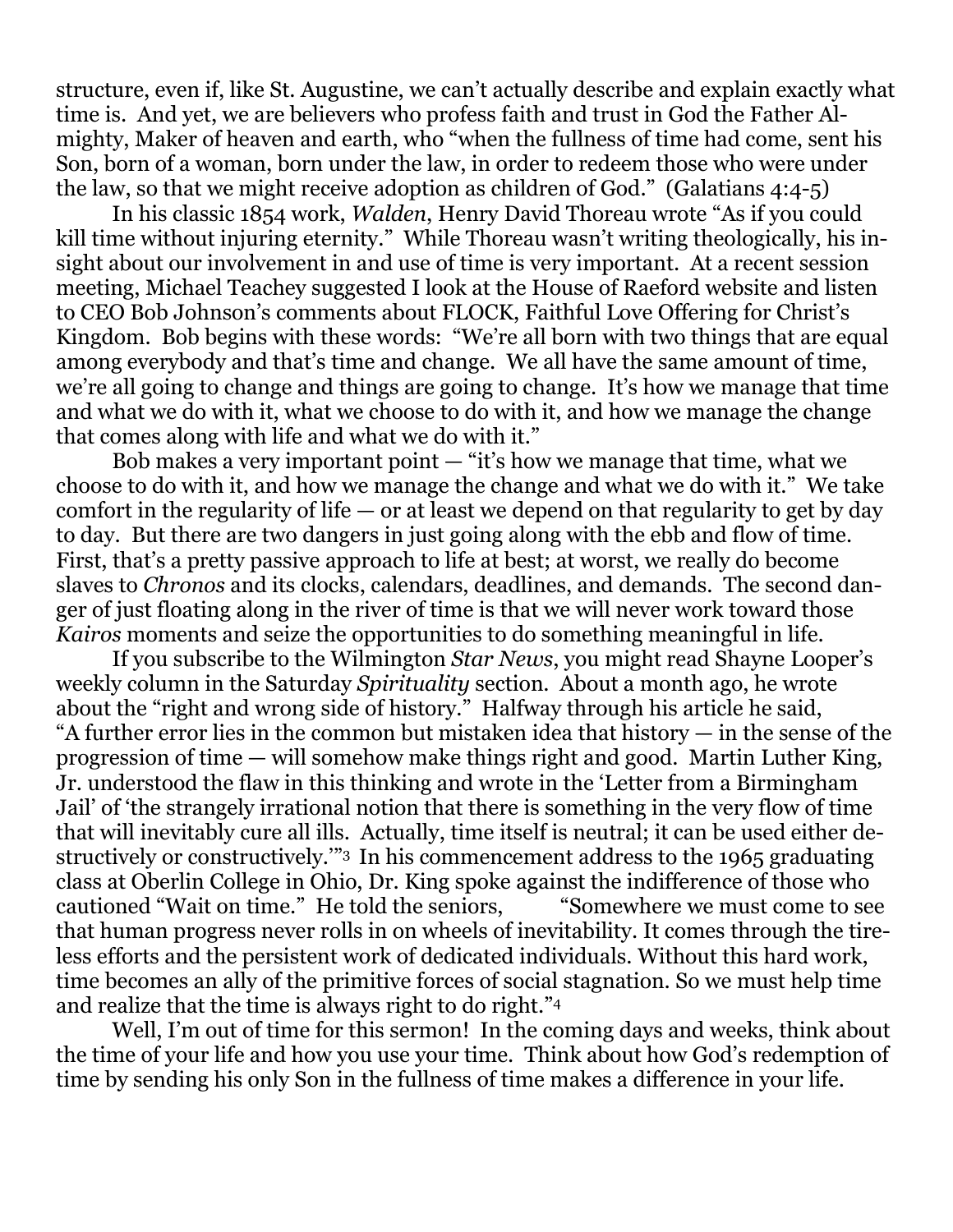structure, even if, like St. Augustine, we can't actually describe and explain exactly what time is. And yet, we are believers who profess faith and trust in God the Father Almighty, Maker of heaven and earth, who "when the fullness of time had come, sent his Son, born of a woman, born under the law, in order to redeem those who were under the law, so that we might receive adoption as children of God." (Galatians 4:4-5)

In his classic 1854 work, *Walden*, Henry David Thoreau wrote "As if you could kill time without injuring eternity." While Thoreau wasn't writing theologically, his insight about our involvement in and use of time is very important. At a recent session meeting, Michael Teachey suggested I look at the House of Raeford website and listen to CEO Bob Johnson's comments about FLOCK, Faithful Love Offering for Christ's Kingdom. Bob begins with these words: "We're all born with two things that are equal among everybody and that's time and change. We all have the same amount of time, we're all going to change and things are going to change. It's how we manage that time and what we do with it, what we choose to do with it, and how we manage the change that comes along with life and what we do with it."

Bob makes a very important point — "it's how we manage that time, what we choose to do with it, and how we manage the change and what we do with it." We take comfort in the regularity of life  $-$  or at least we depend on that regularity to get by day to day. But there are two dangers in just going along with the ebb and flow of time. First, that's a pretty passive approach to life at best; at worst, we really do become slaves to *Chronos* and its clocks, calendars, deadlines, and demands. The second danger of just floating along in the river of time is that we will never work toward those *Kairos* moments and seize the opportunities to do something meaningful in life.

If you subscribe to the Wilmington *Star News*, you might read Shayne Looper's weekly column in the Saturday *Spirituality* section. About a month ago, he wrote about the "right and wrong side of history." Halfway through his article he said, "A further error lies in the common but mistaken idea that history — in the sense of the progression of time — will somehow make things right and good. Martin Luther King, Jr. understood the flaw in this thinking and wrote in the 'Letter from a Birmingham Jail' of 'the strangely irrational notion that there is something in the very flow of time that will inevitably cure all ills. Actually, time itself is neutral; it can be used either destructively or constructively.'"<sup>3</sup> In his commencement address to the 1965 graduating class at Oberlin College in Ohio, Dr. King spoke against the indifference of those who cautioned "Wait on time." He told the seniors, "Somewhere we must come to see that human progress never rolls in on wheels of inevitability. It comes through the tireless efforts and the persistent work of dedicated individuals. Without this hard work, time becomes an ally of the primitive forces of social stagnation. So we must help time and realize that the time is always right to do right."<sup>4</sup>

Well, I'm out of time for this sermon! In the coming days and weeks, think about the time of your life and how you use your time. Think about how God's redemption of time by sending his only Son in the fullness of time makes a difference in your life.